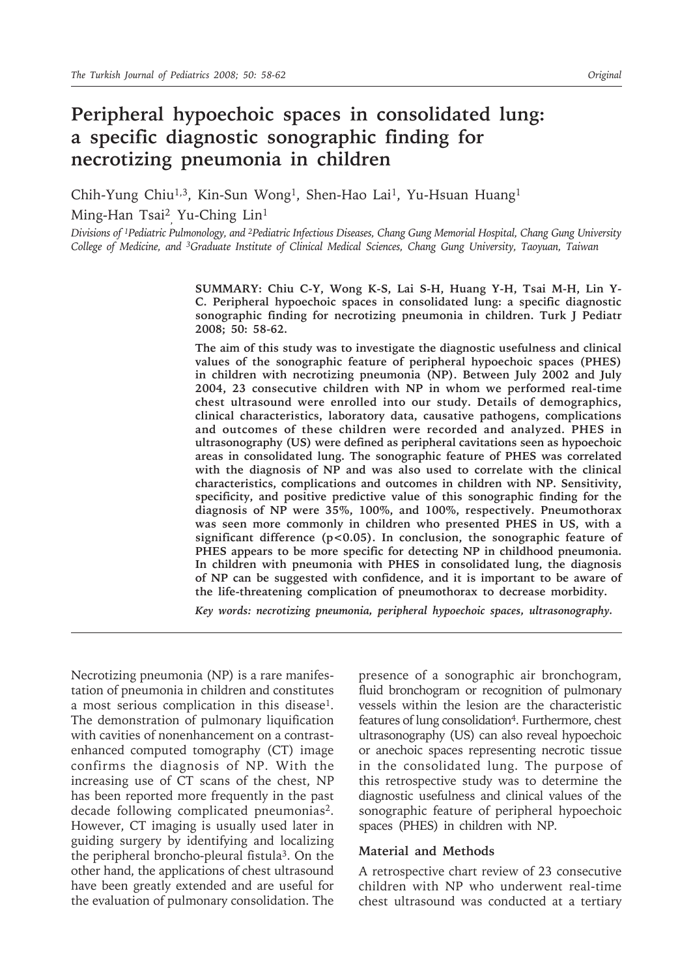# **Peripheral hypoechoic spaces in consolidated lung: a specific diagnostic sonographic finding for necrotizing pneumonia in children**

Chih-Yung Chiu<sup>1,3</sup>, Kin-Sun Wong<sup>1</sup>, Shen-Hao Lai<sup>1</sup>, Yu-Hsuan Huang<sup>1</sup>

Ming-Han Tsai2 , Yu-Ching Lin1

*Divisions of 1Pediatric Pulmonology, and 2Pediatric Infectious Diseases, Chang Gung Memorial Hospital, Chang Gung University College of Medicine, and 3Graduate Institute of Clinical Medical Sciences, Chang Gung University, Taoyuan, Taiwan*

> **SUMMARY: Chiu C-Y, Wong K-S, Lai S-H, Huang Y-H, Tsai M-H, Lin Y-C. Peripheral hypoechoic spaces in consolidated lung: a specific diagnostic sonographic finding for necrotizing pneumonia in children. Turk J Pediatr 2008; 50: 58-62.**

> **The aim of this study was to investigate the diagnostic usefulness and clinical values of the sonographic feature of peripheral hypoechoic spaces (PHES) in children with necrotizing pneumonia (NP). Between July 2002 and July 2004, 23 consecutive children with NP in whom we performed real-time chest ultrasound were enrolled into our study. Details of demographics, clinical characteristics, laboratory data, causative pathogens, complications and outcomes of these children were recorded and analyzed. PHES in ultrasonography (US) were defined as peripheral cavitations seen as hypoechoic areas in consolidated lung. The sonographic feature of PHES was correlated with the diagnosis of NP and was also used to correlate with the clinical characteristics, complications and outcomes in children with NP. Sensitivity, specificity, and positive predictive value of this sonographic finding for the diagnosis of NP were 35%, 100%, and 100%, respectively. Pneumothorax was seen more commonly in children who presented PHES in US, with a significant difference (p<0.05). In conclusion, the sonographic feature of PHES appears to be more specific for detecting NP in childhood pneumonia. In children with pneumonia with PHES in consolidated lung, the diagnosis of NP can be suggested with confidence, and it is important to be aware of the life-threatening complication of pneumothorax to decrease morbidity.**

*Key words: necrotizing pneumonia, peripheral hypoechoic spaces, ultrasonography.*

Necrotizing pneumonia (NP) is a rare manifestation of pneumonia in children and constitutes a most serious complication in this disease<sup>1</sup>. The demonstration of pulmonary liquification with cavities of nonenhancement on a contrastenhanced computed tomography (CT) image confirms the diagnosis of NP. With the increasing use of CT scans of the chest, NP has been reported more frequently in the past decade following complicated pneumonias<sup>2</sup>. However, CT imaging is usually used later in guiding surgery by identifying and localizing the peripheral broncho-pleural fistula3. On the other hand, the applications of chest ultrasound have been greatly extended and are useful for the evaluation of pulmonary consolidation. The

presence of a sonographic air bronchogram, fluid bronchogram or recognition of pulmonary vessels within the lesion are the characteristic features of lung consolidation<sup>4</sup>. Furthermore, chest ultrasonography (US) can also reveal hypoechoic or anechoic spaces representing necrotic tissue in the consolidated lung. The purpose of this retrospective study was to determine the diagnostic usefulness and clinical values of the sonographic feature of peripheral hypoechoic spaces (PHES) in children with NP.

### **Material and Methods**

A retrospective chart review of 23 consecutive children with NP who underwent real-time chest ultrasound was conducted at a tertiary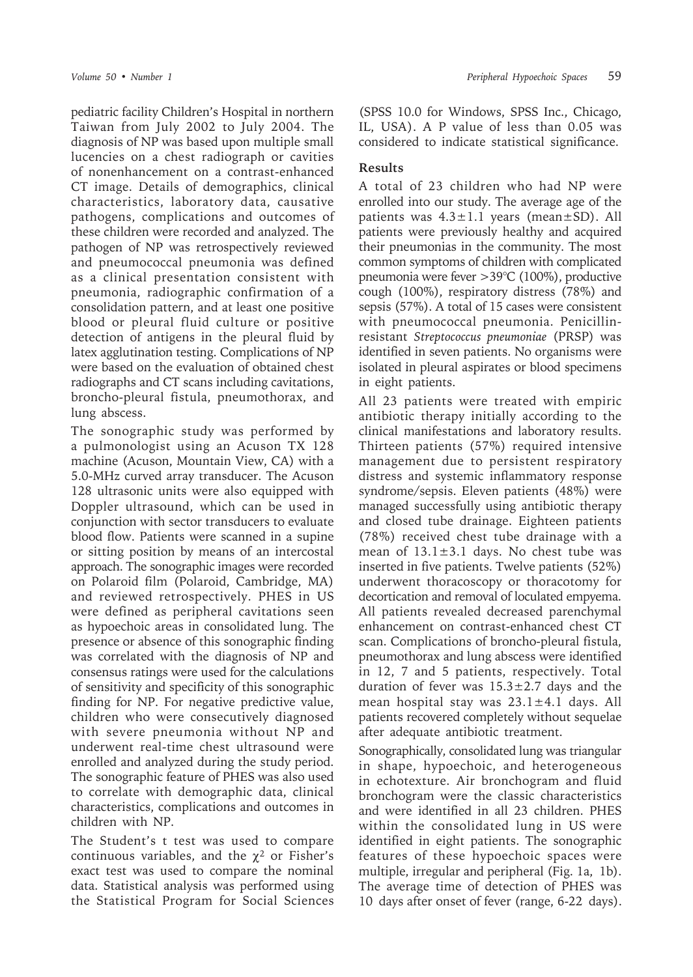pediatric facility Children's Hospital in northern Taiwan from July 2002 to July 2004. The diagnosis of NP was based upon multiple small lucencies on a chest radiograph or cavities of nonenhancement on a contrast-enhanced CT image. Details of demographics, clinical characteristics, laboratory data, causative pathogens, complications and outcomes of these children were recorded and analyzed. The pathogen of NP was retrospectively reviewed and pneumococcal pneumonia was defined as a clinical presentation consistent with pneumonia, radiographic confirmation of a consolidation pattern, and at least one positive blood or pleural fluid culture or positive detection of antigens in the pleural fluid by latex agglutination testing. Complications of NP were based on the evaluation of obtained chest radiographs and CT scans including cavitations, broncho-pleural fistula, pneumothorax, and lung abscess.

The sonographic study was performed by a pulmonologist using an Acuson TX 128 machine (Acuson, Mountain View, CA) with a 5.0-MHz curved array transducer. The Acuson 128 ultrasonic units were also equipped with Doppler ultrasound, which can be used in conjunction with sector transducers to evaluate blood flow. Patients were scanned in a supine or sitting position by means of an intercostal approach. The sonographic images were recorded on Polaroid film (Polaroid, Cambridge, MA) and reviewed retrospectively. PHES in US were defined as peripheral cavitations seen as hypoechoic areas in consolidated lung. The presence or absence of this sonographic finding was correlated with the diagnosis of NP and consensus ratings were used for the calculations of sensitivity and specificity of this sonographic finding for NP. For negative predictive value, children who were consecutively diagnosed with severe pneumonia without NP and underwent real-time chest ultrasound were enrolled and analyzed during the study period. The sonographic feature of PHES was also used to correlate with demographic data, clinical characteristics, complications and outcomes in children with NP.

The Student's t test was used to compare continuous variables, and the  $\chi^2$  or Fisher's exact test was used to compare the nominal data. Statistical analysis was performed using the Statistical Program for Social Sciences

(SPSS 10.0 for Windows, SPSS Inc., Chicago, IL, USA). A P value of less than 0.05 was considered to indicate statistical significance.

## **Results**

A total of 23 children who had NP were enrolled into our study. The average age of the patients was  $4.3 \pm 1.1$  years (mean $\pm$ SD). All patients were previously healthy and acquired their pneumonias in the community. The most common symptoms of children with complicated pneumonia were fever >39°C (100%), productive cough (100%), respiratory distress (78%) and sepsis (57%). A total of 15 cases were consistent with pneumococcal pneumonia. Penicillinresistant *Streptococcus pneumoniae* (PRSP) was identified in seven patients. No organisms were isolated in pleural aspirates or blood specimens in eight patients.

All 23 patients were treated with empiric antibiotic therapy initially according to the clinical manifestations and laboratory results. Thirteen patients (57%) required intensive management due to persistent respiratory distress and systemic inflammatory response syndrome/sepsis. Eleven patients (48%) were managed successfully using antibiotic therapy and closed tube drainage. Eighteen patients (78%) received chest tube drainage with a mean of  $13.1 \pm 3.1$  days. No chest tube was inserted in five patients. Twelve patients (52%) underwent thoracoscopy or thoracotomy for decortication and removal of loculated empyema. All patients revealed decreased parenchymal enhancement on contrast-enhanced chest CT scan. Complications of broncho-pleural fistula, pneumothorax and lung abscess were identified in 12, 7 and 5 patients, respectively. Total duration of fever was  $15.3 \pm 2.7$  days and the mean hospital stay was  $23.1 \pm 4.1$  days. All patients recovered completely without sequelae after adequate antibiotic treatment.

Sonographically, consolidated lung was triangular in shape, hypoechoic, and heterogeneous in echotexture. Air bronchogram and fluid bronchogram were the classic characteristics and were identified in all 23 children. PHES within the consolidated lung in US were identified in eight patients. The sonographic features of these hypoechoic spaces were multiple, irregular and peripheral (Fig. 1a, 1b). The average time of detection of PHES was 10 days after onset of fever (range, 6-22 days).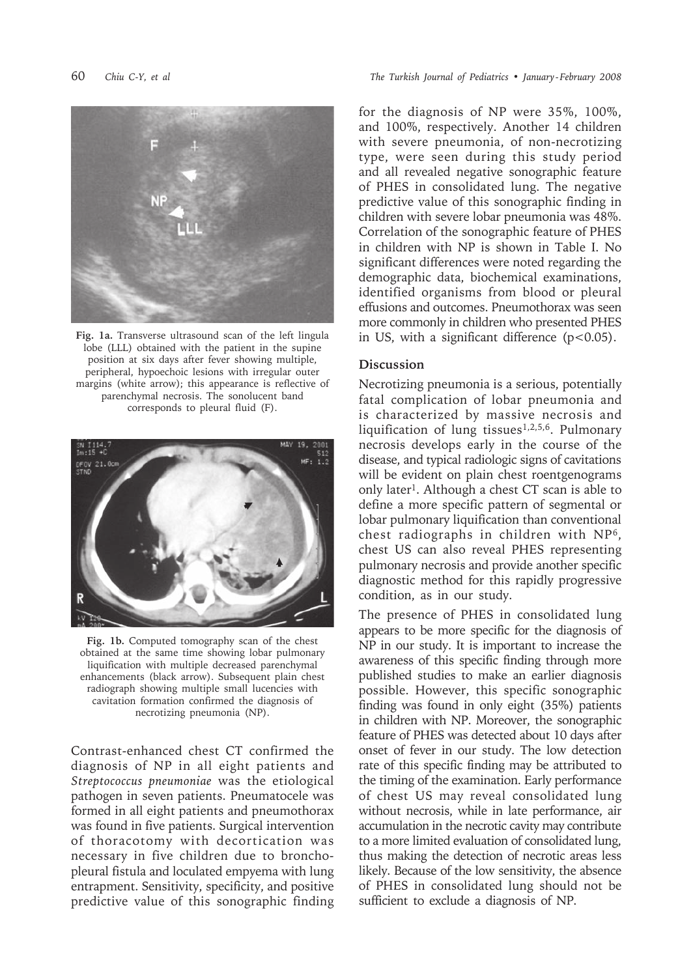

**Fig. 1a.** Transverse ultrasound scan of the left lingula lobe (LLL) obtained with the patient in the supine position at six days after fever showing multiple, peripheral, hypoechoic lesions with irregular outer margins (white arrow); this appearance is reflective of parenchymal necrosis. The sonolucent band corresponds to pleural fluid (F).



**Fig. 1b.** Computed tomography scan of the chest obtained at the same time showing lobar pulmonary liquification with multiple decreased parenchymal enhancements (black arrow). Subsequent plain chest radiograph showing multiple small lucencies with cavitation formation confirmed the diagnosis of necrotizing pneumonia (NP).

Contrast-enhanced chest CT confirmed the diagnosis of NP in all eight patients and *Streptococcus pneumoniae* was the etiological pathogen in seven patients. Pneumatocele was formed in all eight patients and pneumothorax was found in five patients. Surgical intervention of thoracotomy with decortication was necessary in five children due to bronchopleural fistula and loculated empyema with lung entrapment. Sensitivity, specificity, and positive predictive value of this sonographic finding

for the diagnosis of NP were 35%, 100%, and 100%, respectively. Another 14 children with severe pneumonia, of non-necrotizing type, were seen during this study period and all revealed negative sonographic feature of PHES in consolidated lung. The negative predictive value of this sonographic finding in children with severe lobar pneumonia was 48%. Correlation of the sonographic feature of PHES in children with NP is shown in Table I. No significant differences were noted regarding the demographic data, biochemical examinations, identified organisms from blood or pleural effusions and outcomes. Pneumothorax was seen more commonly in children who presented PHES in US, with a significant difference  $(p<0.05)$ .

## **Discussion**

Necrotizing pneumonia is a serious, potentially fatal complication of lobar pneumonia and is characterized by massive necrosis and liquification of lung tissues1,2,5,6. Pulmonary necrosis develops early in the course of the disease, and typical radiologic signs of cavitations will be evident on plain chest roentgenograms only later1. Although a chest CT scan is able to define a more specific pattern of segmental or lobar pulmonary liquification than conventional chest radiographs in children with NP6, chest US can also reveal PHES representing pulmonary necrosis and provide another specific diagnostic method for this rapidly progressive condition, as in our study.

The presence of PHES in consolidated lung appears to be more specific for the diagnosis of NP in our study. It is important to increase the awareness of this specific finding through more published studies to make an earlier diagnosis possible. However, this specific sonographic finding was found in only eight (35%) patients in children with NP. Moreover, the sonographic feature of PHES was detected about 10 days after onset of fever in our study. The low detection rate of this specific finding may be attributed to the timing of the examination. Early performance of chest US may reveal consolidated lung without necrosis, while in late performance, air accumulation in the necrotic cavity may contribute to a more limited evaluation of consolidated lung, thus making the detection of necrotic areas less likely. Because of the low sensitivity, the absence of PHES in consolidated lung should not be sufficient to exclude a diagnosis of NP.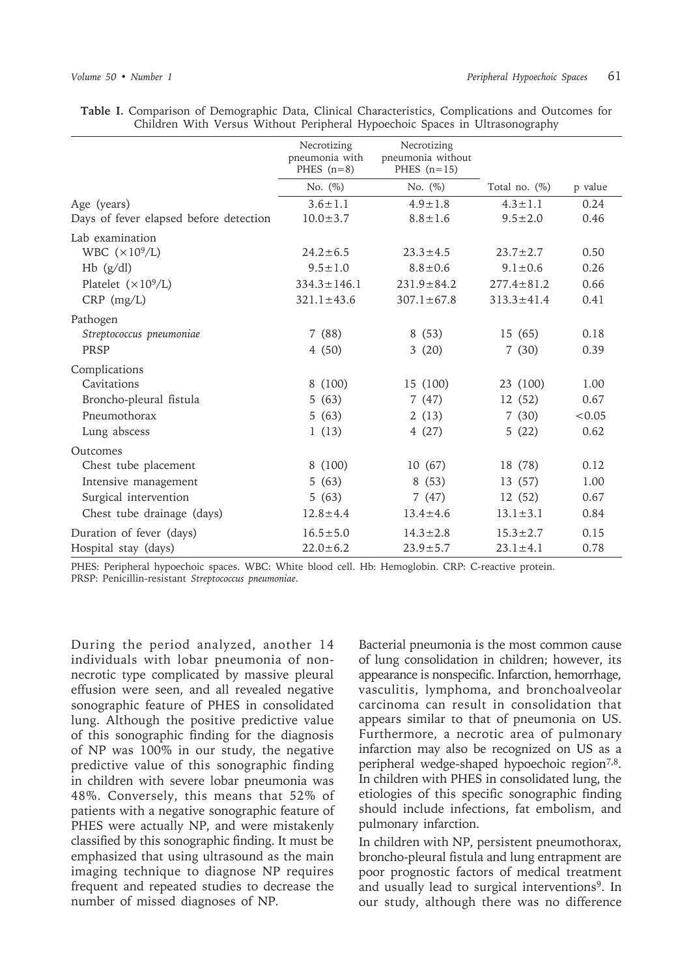|                                        | Necrotizing<br>pneumonia with<br>PHES $(n=8)$ | Necrotizing<br>pneumonia without<br>PHES $(n=15)$ |                  |         |
|----------------------------------------|-----------------------------------------------|---------------------------------------------------|------------------|---------|
|                                        | No. $(\%)$                                    | No. $(\%)$                                        | Total no. $(\%)$ | p value |
| Age (years)                            | $3.6 \pm 1.1$                                 | $4.9 \pm 1.8$                                     | $4.3 \pm 1.1$    | 0.24    |
| Days of fever elapsed before detection | $10.0 \pm 3.7$                                | $8.8 \pm 1.6$                                     | $9.5 \pm 2.0$    | 0.46    |
| Lab examination                        |                                               |                                                   |                  |         |
| WBC $(\times 10^9/L)$                  | $24.2 \pm 6.5$                                | $23.3 \pm 4.5$                                    | $23.7 \pm 2.7$   | 0.50    |
| $Hb$ (g/dl)                            | $9.5 \pm 1.0$                                 | $8.8 \pm 0.6$                                     | $9.1 \pm 0.6$    | 0.26    |
| Platelet $(\times 10^9/L)$             | $334.3 \pm 146.1$                             | $231.9 \pm 84.2$                                  | $277.4 \pm 81.2$ | 0.66    |
| $CRP$ (mg/L)                           | $321.1 \pm 43.6$                              | $307.1 \pm 67.8$                                  | $313.3 \pm 41.4$ | 0.41    |
| Pathogen                               |                                               |                                                   |                  |         |
| Streptococcus pneumoniae               | 7(88)                                         | 8(53)                                             | 15 (65)          | 0.18    |
| PRSP                                   | 4(50)                                         | 3(20)                                             | 7(30)            | 0.39    |
| Complications                          |                                               |                                                   |                  |         |
| Cavitations                            | 8 (100)                                       | 15 (100)                                          | 23 (100)         | 1.00    |
| Broncho-pleural fistula                | 5(63)                                         | 7(47)                                             | 12(52)           | 0.67    |
| Pneumothorax                           | 5(63)                                         | 2(13)                                             | 7(30)            | < 0.05  |
| Lung abscess                           | 1(13)                                         | 4(27)                                             | 5(22)            | 0.62    |
| Outcomes                               |                                               |                                                   |                  |         |
| Chest tube placement                   | 8 (100)                                       | 10(67)                                            | 18 (78)          | 0.12    |
| Intensive management                   | 5(63)                                         | 8(53)                                             | 13 (57)          | 1.00    |
| Surgical intervention                  | 5(63)                                         | 7(47)                                             | 12 (52)          | 0.67    |
| Chest tube drainage (days)             | $12.8 \pm 4.4$                                | $13.4 \pm 4.6$                                    | $13.1 \pm 3.1$   | 0.84    |
| Duration of fever (days)               | $16.5 \pm 5.0$                                | $14.3 \pm 2.8$                                    | $15.3 \pm 2.7$   | 0.15    |
| Hospital stay (days)                   | $22.0 \pm 6.2$                                | $23.9 \pm 5.7$                                    | $23.1 \pm 4.1$   | 0.78    |

**Table I.** Comparison of Demographic Data, Clinical Characteristics, Complications and Outcomes for Children With Versus Without Peripheral Hypoechoic Spaces in Ultrasonography

PHES: Peripheral hypoechoic spaces. WBC: White blood cell. Hb: Hemoglobin. CRP: C-reactive protein. PRSP: Penicillin-resistant *Streptococcus pneumoniae*.

During the period analyzed, another 14 individuals with lobar pneumonia of nonnecrotic type complicated by massive pleural effusion were seen, and all revealed negative sonographic feature of PHES in consolidated lung. Although the positive predictive value of this sonographic finding for the diagnosis of NP was 100% in our study, the negative predictive value of this sonographic finding in children with severe lobar pneumonia was 48%. Conversely, this means that 52% of patients with a negative sonographic feature of PHES were actually NP, and were mistakenly classified by this sonographic finding. It must be emphasized that using ultrasound as the main imaging technique to diagnose NP requires frequent and repeated studies to decrease the number of missed diagnoses of NP.

Bacterial pneumonia is the most common cause of lung consolidation in children; however, its appearance is nonspecific. Infarction, hemorrhage, vasculitis, lymphoma, and bronchoalveolar carcinoma can result in consolidation that appears similar to that of pneumonia on US. Furthermore, a necrotic area of pulmonary infarction may also be recognized on US as a peripheral wedge-shaped hypoechoic region<sup>7,8</sup>. In children with PHES in consolidated lung, the etiologies of this specific sonographic finding should include infections, fat embolism, and pulmonary infarction.

In children with NP, persistent pneumothorax, broncho-pleural fistula and lung entrapment are poor prognostic factors of medical treatment and usually lead to surgical interventions<sup>9</sup>. In our study, although there was no difference